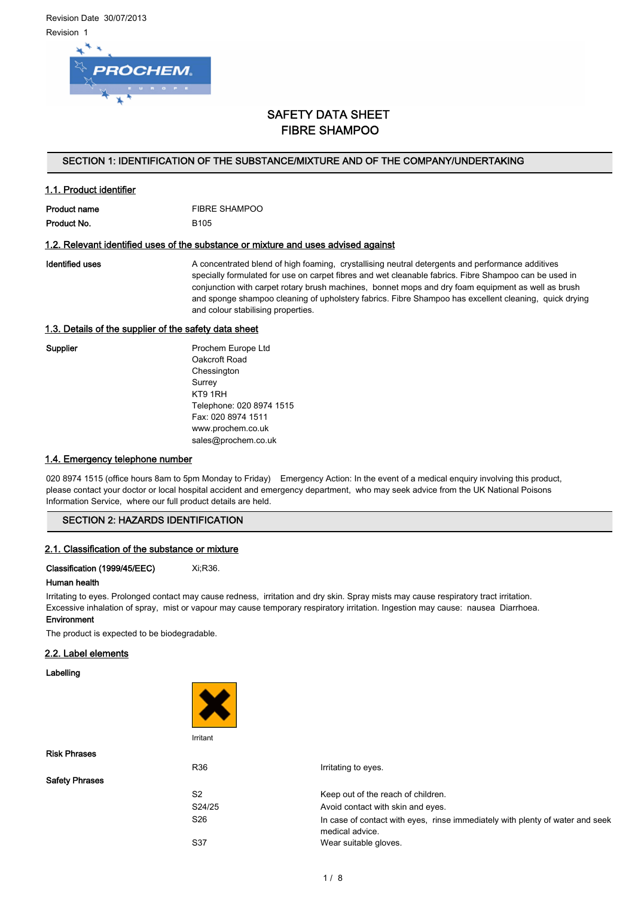1.1. Product identifier



# SAFETY DATA SHEET FIBRE SHAMPOO

## SECTION 1: IDENTIFICATION OF THE SUBSTANCE/MIXTURE AND OF THE COMPANY/UNDERTAKING

| T. I. Proguct Igentiler |                      |
|-------------------------|----------------------|
| <b>Product name</b>     | <b>FIBRE SHAMPOO</b> |
|                         |                      |

Product No. 6105

#### 1.2. Relevant identified uses of the substance or mixture and uses advised against

Identified uses **A** concentrated blend of high foaming, crystallising neutral detergents and performance additives specially formulated for use on carpet fibres and wet cleanable fabrics. Fibre Shampoo can be used in conjunction with carpet rotary brush machines, bonnet mops and dry foam equipment as well as brush and sponge shampoo cleaning of upholstery fabrics. Fibre Shampoo has excellent cleaning, quick drying and colour stabilising properties.

#### 1.3. Details of the supplier of the safety data sheet

Supplier **Prochem Europe Ltd** Oakcroft Road **Chessington** Surrey KT9 1RH Telephone: 020 8974 1515 Fax: 020 8974 1511 www.prochem.co.uk sales@prochem.co.uk

# 1.4. Emergency telephone number

020 8974 1515 (office hours 8am to 5pm Monday to Friday) Emergency Action: In the event of a medical enquiry involving this product, please contact your doctor or local hospital accident and emergency department, who may seek advice from the UK National Poisons Information Service, where our full product details are held.

## SECTION 2: HAZARDS IDENTIFICATION

#### 2.1. Classification of the substance or mixture

Classification (1999/45/EEC) Xi;R36.

#### Human health

Irritating to eyes. Prolonged contact may cause redness, irritation and dry skin. Spray mists may cause respiratory tract irritation. Excessive inhalation of spray, mist or vapour may cause temporary respiratory irritation. Ingestion may cause: nausea Diarrhoea. **Environment** 

The product is expected to be biodegradable.

#### 2.2. Label elements

## Labelling



| <b>Risk Phrases</b>   |                |                                                                                                  |
|-----------------------|----------------|--------------------------------------------------------------------------------------------------|
|                       | R36            | Irritating to eyes.                                                                              |
| <b>Safety Phrases</b> |                |                                                                                                  |
|                       | S <sub>2</sub> | Keep out of the reach of children.                                                               |
|                       | S24/25         | Avoid contact with skin and eyes.                                                                |
|                       | S26            | In case of contact with eyes, rinse immediately with plenty of water and seek<br>medical advice. |
|                       | S37            | Wear suitable gloves.                                                                            |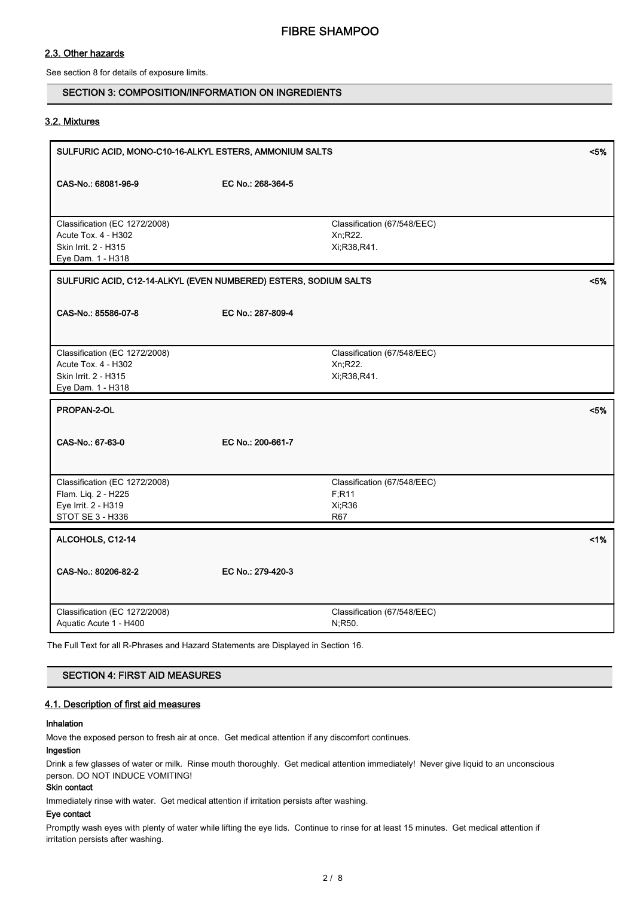# 2.3. Other hazards

See section 8 for details of exposure limits.

## SECTION 3: COMPOSITION/INFORMATION ON INGREDIENTS

#### 3.2. Mixtures

| SULFURIC ACID, MONO-C10-16-ALKYL ESTERS, AMMONIUM SALTS<br>$< 5\%$                                |                   |                                                               |     |
|---------------------------------------------------------------------------------------------------|-------------------|---------------------------------------------------------------|-----|
| CAS-No.: 68081-96-9                                                                               | EC No.: 268-364-5 |                                                               |     |
|                                                                                                   |                   |                                                               |     |
| Classification (EC 1272/2008)<br>Acute Tox. 4 - H302<br>Skin Irrit. 2 - H315<br>Eye Dam. 1 - H318 |                   | Classification (67/548/EEC)<br>Xn;R22.<br>Xi, R38, R41.       |     |
| SULFURIC ACID, C12-14-ALKYL (EVEN NUMBERED) ESTERS, SODIUM SALTS<br><5%                           |                   |                                                               |     |
| CAS-No.: 85586-07-8                                                                               | EC No.: 287-809-4 |                                                               |     |
| Classification (EC 1272/2008)<br>Acute Tox. 4 - H302<br>Skin Irrit. 2 - H315<br>Eye Dam. 1 - H318 |                   | Classification (67/548/EEC)<br>Xn;R22.<br>Xi;R38,R41.         |     |
| PROPAN-2-OL                                                                                       |                   |                                                               | <5% |
| CAS-No.: 67-63-0                                                                                  | EC No.: 200-661-7 |                                                               |     |
| Classification (EC 1272/2008)<br>Flam. Liq. 2 - H225<br>Eye Irrit. 2 - H319<br>STOT SE 3 - H336   |                   | Classification (67/548/EEC)<br>F; R11<br>Xi;R36<br><b>R67</b> |     |
| ALCOHOLS, C12-14                                                                                  |                   |                                                               | 1%  |
| CAS-No.: 80206-82-2                                                                               | EC No.: 279-420-3 |                                                               |     |
| Classification (EC 1272/2008)<br>Aquatic Acute 1 - H400                                           |                   | Classification (67/548/EEC)<br>N;R50.                         |     |

The Full Text for all R-Phrases and Hazard Statements are Displayed in Section 16.

# SECTION 4: FIRST AID MEASURES

## 4.1. Description of first aid measures

#### Inhalation

Move the exposed person to fresh air at once. Get medical attention if any discomfort continues.

#### Ingestion

Drink a few glasses of water or milk. Rinse mouth thoroughly. Get medical attention immediately! Never give liquid to an unconscious person. DO NOT INDUCE VOMITING!

## Skin contact

Immediately rinse with water. Get medical attention if irritation persists after washing.

# Eye contact

Promptly wash eyes with plenty of water while lifting the eye lids. Continue to rinse for at least 15 minutes. Get medical attention if irritation persists after washing.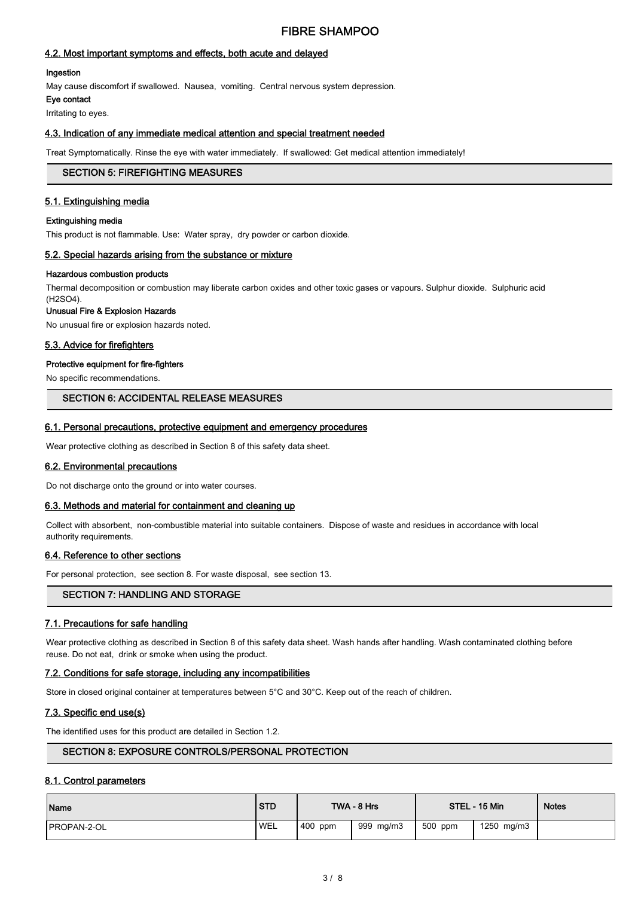# FIBRE SHAMPOO

## 4.2. Most important symptoms and effects, both acute and delayed

#### Ingestion

May cause discomfort if swallowed. Nausea, vomiting. Central nervous system depression.

Eye contact

Irritating to eyes.

# 4.3. Indication of any immediate medical attention and special treatment needed

Treat Symptomatically. Rinse the eye with water immediately. If swallowed: Get medical attention immediately!

#### SECTION 5: FIREFIGHTING MEASURES

## 5.1. Extinguishing media

#### Extinguishing media

This product is not flammable. Use: Water spray, dry powder or carbon dioxide.

#### 5.2. Special hazards arising from the substance or mixture

#### Hazardous combustion products

Thermal decomposition or combustion may liberate carbon oxides and other toxic gases or vapours. Sulphur dioxide. Sulphuric acid

## (H2SO4).

Unusual Fire & Explosion Hazards

No unusual fire or explosion hazards noted.

#### 5.3. Advice for firefighters

#### Protective equipment for fire-fighters

No specific recommendations.

## SECTION 6: ACCIDENTAL RELEASE MEASURES

#### 6.1. Personal precautions, protective equipment and emergency procedures

Wear protective clothing as described in Section 8 of this safety data sheet.

#### 6.2. Environmental precautions

Do not discharge onto the ground or into water courses.

#### 6.3. Methods and material for containment and cleaning up

Collect with absorbent, non-combustible material into suitable containers. Dispose of waste and residues in accordance with local authority requirements.

#### 6.4. Reference to other sections

For personal protection, see section 8. For waste disposal, see section 13.

#### SECTION 7: HANDLING AND STORAGE

#### 7.1. Precautions for safe handling

Wear protective clothing as described in Section 8 of this safety data sheet. Wash hands after handling. Wash contaminated clothing before reuse. Do not eat, drink or smoke when using the product.

#### 7.2. Conditions for safe storage, including any incompatibilities

Store in closed original container at temperatures between 5°C and 30°C. Keep out of the reach of children.

#### 7.3. Specific end use(s)

The identified uses for this product are detailed in Section 1.2.

# SECTION 8: EXPOSURE CONTROLS/PERSONAL PROTECTION

#### 8.1. Control parameters

| Name                | <b>STD</b> |         | TWA - 8 Hrs |         | STEL - 15 Min | <b>Notes</b> |
|---------------------|------------|---------|-------------|---------|---------------|--------------|
| <b>IPROPAN-2-OL</b> | <b>WEL</b> | 400 ppm | 999 mg/m3   | 500 ppm | 1250 mg/m3    |              |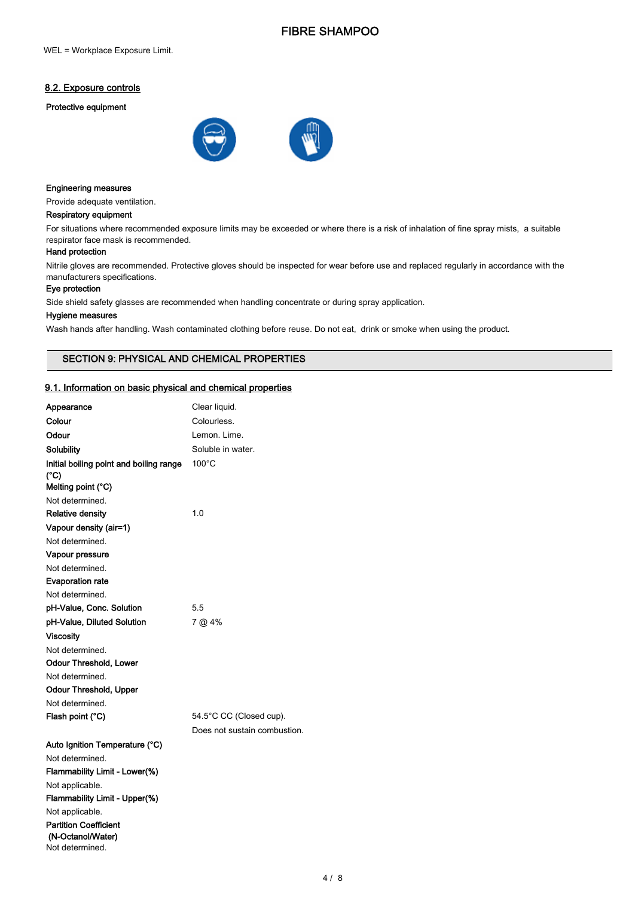# FIBRE SHAMPOO

# 8.2. Exposure controls

#### Protective equipment



#### Engineering measures

Provide adequate ventilation.

#### Respiratory equipment

For situations where recommended exposure limits may be exceeded or where there is a risk of inhalation of fine spray mists, a suitable respirator face mask is recommended.

#### Hand protection

Nitrile gloves are recommended. Protective gloves should be inspected for wear before use and replaced regularly in accordance with the manufacturers specifications.

#### Eye protection

Side shield safety glasses are recommended when handling concentrate or during spray application.

#### Hygiene measures

Wash hands after handling. Wash contaminated clothing before reuse. Do not eat, drink or smoke when using the product.

## SECTION 9: PHYSICAL AND CHEMICAL PROPERTIES

## 9.1. Information on basic physical and chemical properties

| Appearance                                      | Clear liquid.                |
|-------------------------------------------------|------------------------------|
| Colour                                          | Colourless.                  |
| Odour                                           | Lemon. Lime.                 |
| Solubility                                      | Soluble in water.            |
| Initial boiling point and boiling range<br>(°C) | $100^{\circ}$ C              |
| Melting point (°C)                              |                              |
| Not determined.                                 |                              |
| <b>Relative density</b>                         | 1.0                          |
| Vapour density (air=1)                          |                              |
| Not determined.                                 |                              |
| Vapour pressure                                 |                              |
| Not determined.                                 |                              |
| <b>Evaporation rate</b>                         |                              |
| Not determined.                                 |                              |
| pH-Value, Conc. Solution                        | 5.5                          |
| pH-Value, Diluted Solution                      | 7 @ 4%                       |
| Viscositv                                       |                              |
| Not determined.                                 |                              |
| <b>Odour Threshold, Lower</b>                   |                              |
| Not determined.                                 |                              |
| <b>Odour Threshold, Upper</b>                   |                              |
| Not determined.                                 |                              |
| Flash point (°C)                                | 54.5°C CC (Closed cup).      |
|                                                 | Does not sustain combustion. |
| Auto Ignition Temperature (°C)                  |                              |
| Not determined.                                 |                              |
| Flammability Limit - Lower(%)                   |                              |
| Not applicable.                                 |                              |
| Flammability Limit - Upper(%)                   |                              |
| Not applicable.                                 |                              |
| <b>Partition Coefficient</b>                    |                              |
| (N-Octanol/Water)                               |                              |
| Not determined.                                 |                              |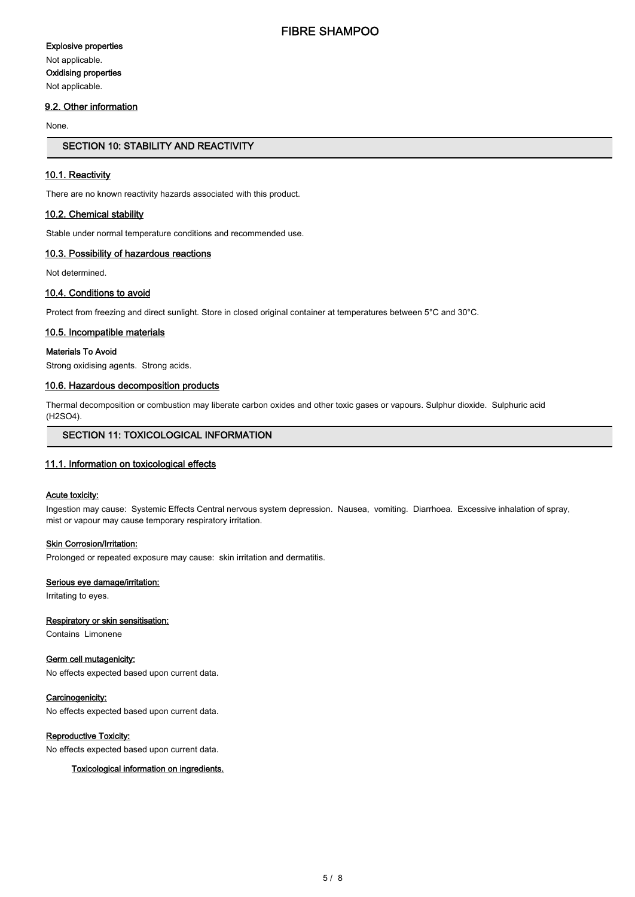#### Explosive properties

Not applicable. Oxidising properties Not applicable.

## 9.2. Other information

None.

# SECTION 10: STABILITY AND REACTIVITY

## 10.1. Reactivity

There are no known reactivity hazards associated with this product.

#### 10.2. Chemical stability

Stable under normal temperature conditions and recommended use.

#### 10.3. Possibility of hazardous reactions

Not determined.

## 10.4. Conditions to avoid

Protect from freezing and direct sunlight. Store in closed original container at temperatures between 5°C and 30°C.

#### 10.5. Incompatible materials

## Materials To Avoid

Strong oxidising agents. Strong acids.

#### 10.6. Hazardous decomposition products

Thermal decomposition or combustion may liberate carbon oxides and other toxic gases or vapours. Sulphur dioxide. Sulphuric acid (H2SO4).

# SECTION 11: TOXICOLOGICAL INFORMATION

# 11.1. Information on toxicological effects

#### Acute toxicity:

Ingestion may cause: Systemic Effects Central nervous system depression. Nausea, vomiting. Diarrhoea. Excessive inhalation of spray, mist or vapour may cause temporary respiratory irritation.

#### **Skin Corrosion/Irritation:**

Prolonged or repeated exposure may cause: skin irritation and dermatitis.

## Serious eye damage/irritation:

Irritating to eyes.

#### Respiratory or skin sensitisation:

Contains Limonene

#### Germ cell mutagenicity:

No effects expected based upon current data.

#### Carcinogenicity:

No effects expected based upon current data.

#### Reproductive Toxicity:

No effects expected based upon current data.

#### Toxicological information on ingredients.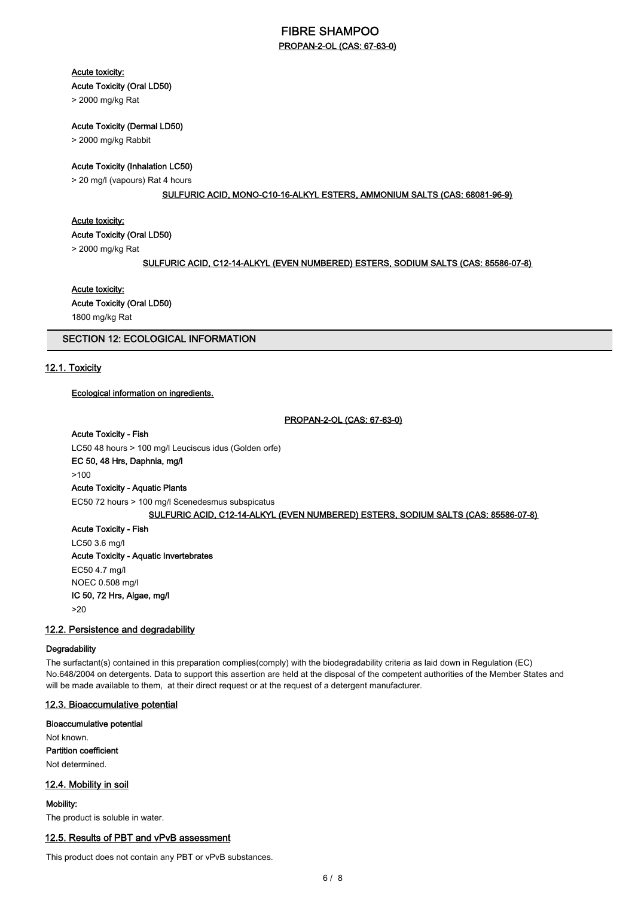# FIBRE SHAMPOO PROPAN-2-OL (CAS: 67-63-0)

#### Acute toxicity:

## Acute Toxicity (Oral LD50)

> 2000 mg/kg Rat

#### Acute Toxicity (Dermal LD50)

> 2000 mg/kg Rabbit

## Acute Toxicity (Inhalation LC50)

> 20 mg/l (vapours) Rat 4 hours

#### SULFURIC ACID, MONO-C10-16-ALKYL ESTERS, AMMONIUM SALTS (CAS: 68081-96-9)

#### Acute toxicity:

Acute Toxicity (Oral LD50)

> 2000 mg/kg Rat

#### SULFURIC ACID, C12-14-ALKYL (EVEN NUMBERED) ESTERS, SODIUM SALTS (CAS: 85586-07-8)

#### Acute toxicity:

Acute Toxicity (Oral LD50)

1800 mg/kg Rat

# SECTION 12: ECOLOGICAL INFORMATION

## 12.1. Toxicity

#### Ecological information on ingredients.

#### PROPAN-2-OL (CAS: 67-63-0)

#### Acute Toxicity - Fish

LC50 48 hours > 100 mg/l Leuciscus idus (Golden orfe) EC 50, 48 Hrs, Daphnia, mg/l >100

#### Acute Toxicity - Aquatic Plants

EC50 72 hours > 100 mg/l Scenedesmus subspicatus

# SULFURIC ACID, C12-14-ALKYL (EVEN NUMBERED) ESTERS, SODIUM SALTS (CAS: 85586-07-8)

Acute Toxicity - Fish LC50 3.6 mg/l Acute Toxicity - Aquatic Invertebrates EC50 4.7 mg/l NOEC 0.508 mg/l IC 50, 72 Hrs, Algae, mg/l >20

#### 12.2. Persistence and degradability

#### **Degradability**

The surfactant(s) contained in this preparation complies(comply) with the biodegradability criteria as laid down in Regulation (EC) No.648/2004 on detergents. Data to support this assertion are held at the disposal of the competent authorities of the Member States and will be made available to them, at their direct request or at the request of a detergent manufacturer.

#### 12.3. Bioaccumulative potential

#### Bioaccumulative potential

Not known. Partition coefficient

Not determined.

#### 12.4. Mobility in soil

#### Mobility:

The product is soluble in water.

#### 12.5. Results of PBT and vPvB assessment

This product does not contain any PBT or vPvB substances.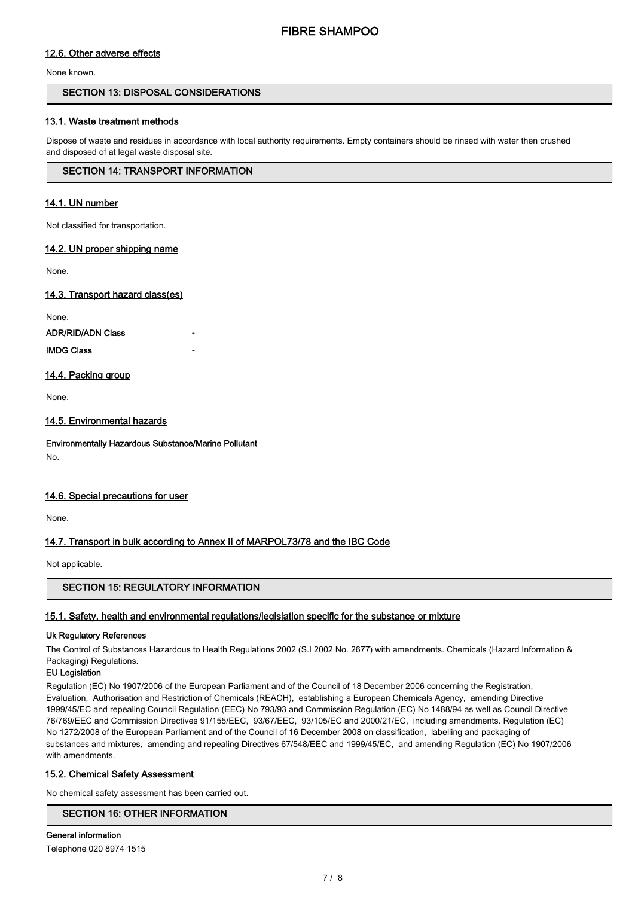# 12.6. Other adverse effects

None known.

## SECTION 13: DISPOSAL CONSIDERATIONS

## 13.1. Waste treatment methods

Dispose of waste and residues in accordance with local authority requirements. Empty containers should be rinsed with water then crushed and disposed of at legal waste disposal site.

## SECTION 14: TRANSPORT INFORMATION

## 14.1. UN number

Not classified for transportation.

## 14.2. UN proper shipping name

None.

## 14.3. Transport hazard class(es)

None.

ADR/RID/ADN Class -

## **IMDG Class**

## 14.4. Packing group

None.

## 14.5. Environmental hazards

Environmentally Hazardous Substance/Marine Pollutant No.

#### 14.6. Special precautions for user

None.

## 14.7. Transport in bulk according to Annex II of MARPOL73/78 and the IBC Code

Not applicable.

## SECTION 15: REGULATORY INFORMATION

## 15.1. Safety, health and environmental regulations/legislation specific for the substance or mixture

#### Uk Regulatory References

The Control of Substances Hazardous to Health Regulations 2002 (S.I 2002 No. 2677) with amendments. Chemicals (Hazard Information & Packaging) Regulations.

#### EU Legislation

Regulation (EC) No 1907/2006 of the European Parliament and of the Council of 18 December 2006 concerning the Registration, Evaluation, Authorisation and Restriction of Chemicals (REACH), establishing a European Chemicals Agency, amending Directive 1999/45/EC and repealing Council Regulation (EEC) No 793/93 and Commission Regulation (EC) No 1488/94 as well as Council Directive 76/769/EEC and Commission Directives 91/155/EEC, 93/67/EEC, 93/105/EC and 2000/21/EC, including amendments. Regulation (EC) No 1272/2008 of the European Parliament and of the Council of 16 December 2008 on classification, labelling and packaging of substances and mixtures, amending and repealing Directives 67/548/EEC and 1999/45/EC, and amending Regulation (EC) No 1907/2006 with amendments.

#### 15.2. Chemical Safety Assessment

No chemical safety assessment has been carried out.

# SECTION 16: OTHER INFORMATION

General information Telephone 020 8974 1515